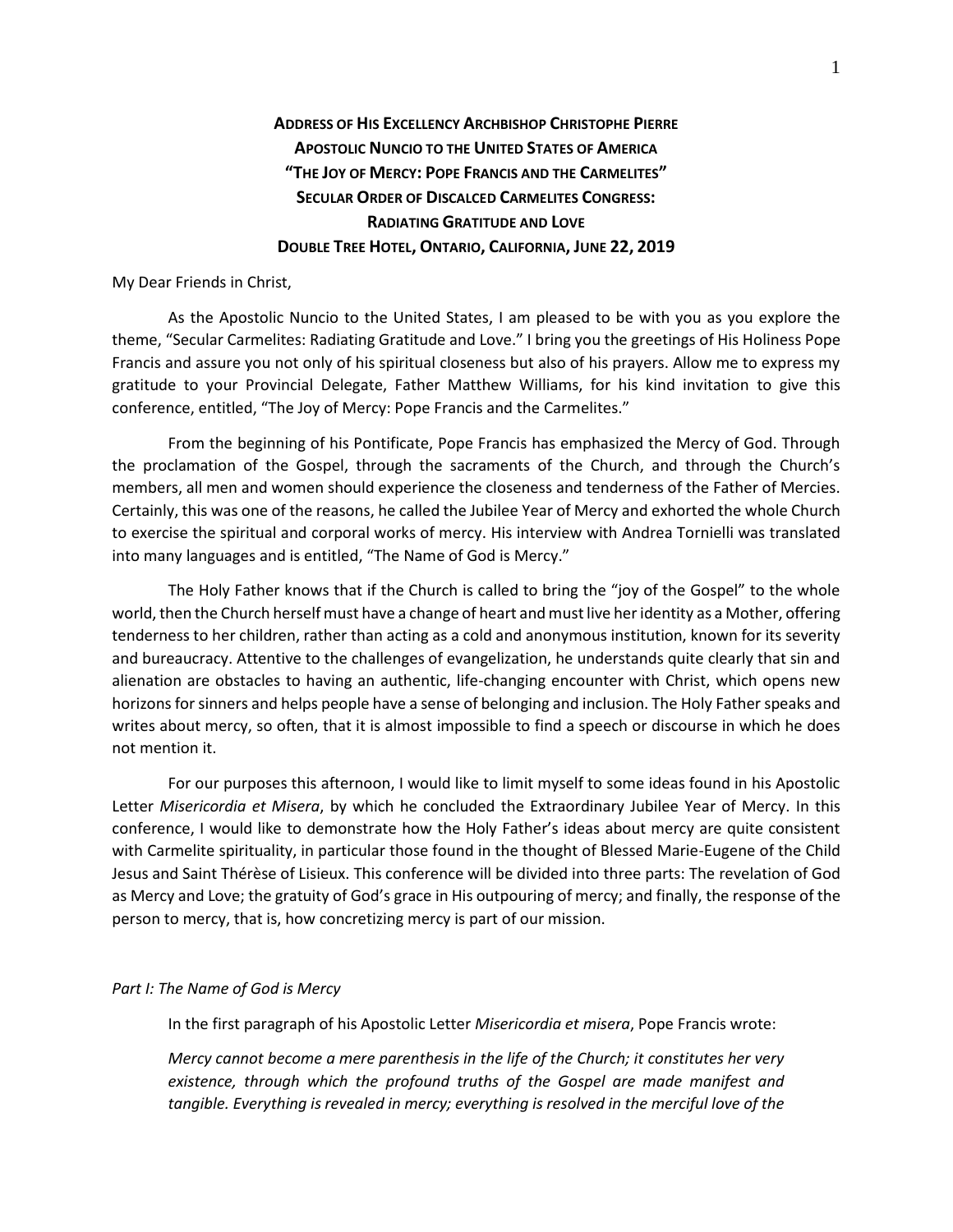# **ADDRESS OF HIS EXCELLENCY ARCHBISHOP CHRISTOPHE PIERRE APOSTOLIC NUNCIO TO THE UNITED STATES OF AMERICA "THE JOY OF MERCY: POPE FRANCIS AND THE CARMELITES" SECULAR ORDER OF DISCALCED CARMELITES CONGRESS: RADIATING GRATITUDE AND LOVE DOUBLE TREE HOTEL, ONTARIO, CALIFORNIA, JUNE 22, 2019**

My Dear Friends in Christ,

As the Apostolic Nuncio to the United States, I am pleased to be with you as you explore the theme, "Secular Carmelites: Radiating Gratitude and Love." I bring you the greetings of His Holiness Pope Francis and assure you not only of his spiritual closeness but also of his prayers. Allow me to express my gratitude to your Provincial Delegate, Father Matthew Williams, for his kind invitation to give this conference, entitled, "The Joy of Mercy: Pope Francis and the Carmelites."

From the beginning of his Pontificate, Pope Francis has emphasized the Mercy of God. Through the proclamation of the Gospel, through the sacraments of the Church, and through the Church's members, all men and women should experience the closeness and tenderness of the Father of Mercies. Certainly, this was one of the reasons, he called the Jubilee Year of Mercy and exhorted the whole Church to exercise the spiritual and corporal works of mercy. His interview with Andrea Tornielli was translated into many languages and is entitled, "The Name of God is Mercy."

The Holy Father knows that if the Church is called to bring the "joy of the Gospel" to the whole world, then the Church herself must have a change of heart and must live her identity as a Mother, offering tenderness to her children, rather than acting as a cold and anonymous institution, known for its severity and bureaucracy. Attentive to the challenges of evangelization, he understands quite clearly that sin and alienation are obstacles to having an authentic, life-changing encounter with Christ, which opens new horizons for sinners and helps people have a sense of belonging and inclusion. The Holy Father speaks and writes about mercy, so often, that it is almost impossible to find a speech or discourse in which he does not mention it.

For our purposes this afternoon, I would like to limit myself to some ideas found in his Apostolic Letter *Misericordia et Misera*, by which he concluded the Extraordinary Jubilee Year of Mercy. In this conference, I would like to demonstrate how the Holy Father's ideas about mercy are quite consistent with Carmelite spirituality, in particular those found in the thought of Blessed Marie-Eugene of the Child Jesus and Saint Thérèse of Lisieux. This conference will be divided into three parts: The revelation of God as Mercy and Love; the gratuity of God's grace in His outpouring of mercy; and finally, the response of the person to mercy, that is, how concretizing mercy is part of our mission.

## *Part I: The Name of God is Mercy*

In the first paragraph of his Apostolic Letter *Misericordia et misera*, Pope Francis wrote:

*Mercy cannot become a mere parenthesis in the life of the Church; it constitutes her very existence, through which the profound truths of the Gospel are made manifest and tangible. Everything is revealed in mercy; everything is resolved in the merciful love of the*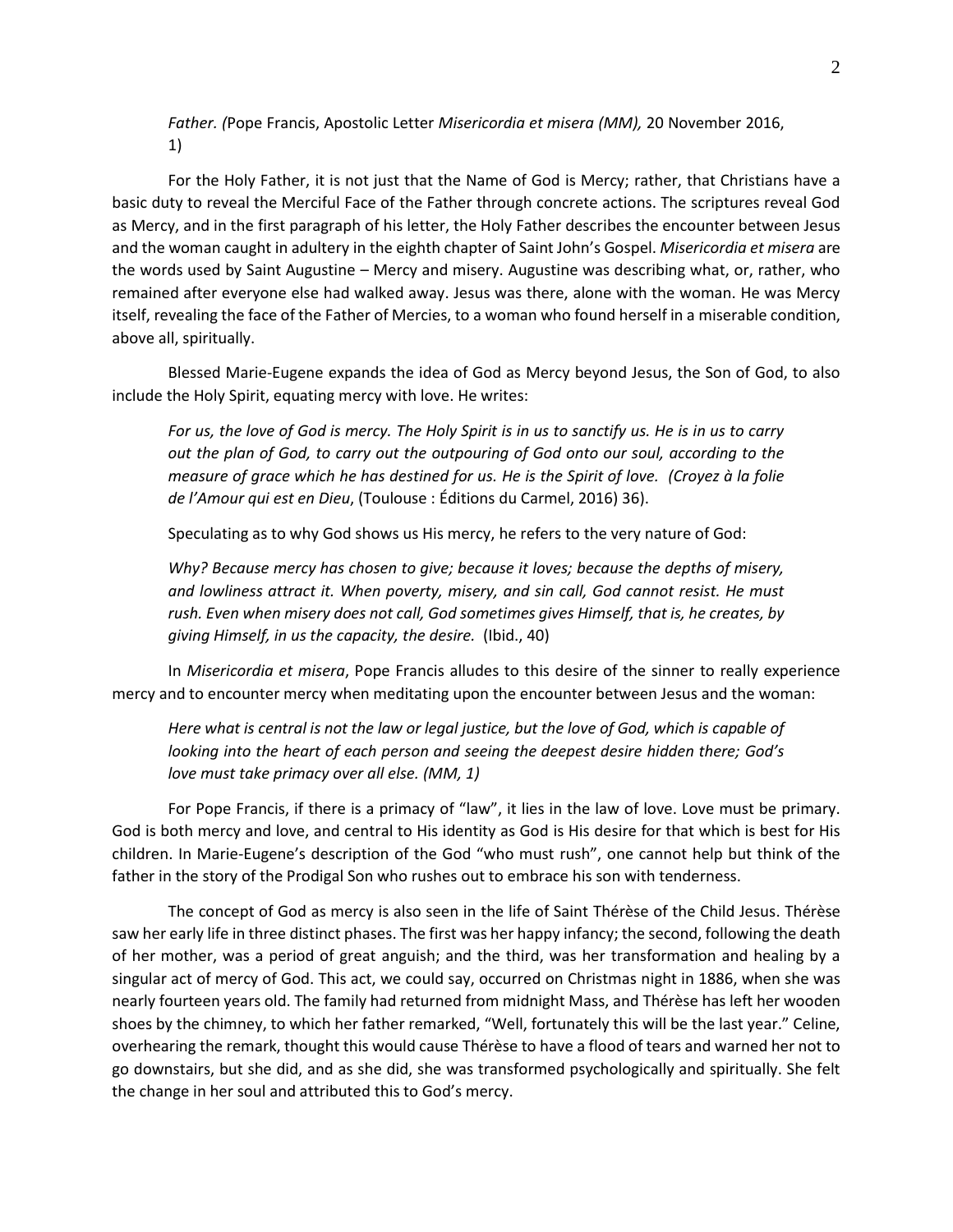*Father. (*Pope Francis, Apostolic Letter *Misericordia et misera (MM),* 20 November 2016, 1)

For the Holy Father, it is not just that the Name of God is Mercy; rather, that Christians have a basic duty to reveal the Merciful Face of the Father through concrete actions. The scriptures reveal God as Mercy, and in the first paragraph of his letter, the Holy Father describes the encounter between Jesus and the woman caught in adultery in the eighth chapter of Saint John's Gospel. *Misericordia et misera* are the words used by Saint Augustine – Mercy and misery. Augustine was describing what, or, rather, who remained after everyone else had walked away. Jesus was there, alone with the woman. He was Mercy itself, revealing the face of the Father of Mercies, to a woman who found herself in a miserable condition, above all, spiritually.

Blessed Marie-Eugene expands the idea of God as Mercy beyond Jesus, the Son of God, to also include the Holy Spirit, equating mercy with love. He writes:

*For us, the love of God is mercy. The Holy Spirit is in us to sanctify us. He is in us to carry out the plan of God, to carry out the outpouring of God onto our soul, according to the measure of grace which he has destined for us. He is the Spirit of love. (Croyez à la folie de l'Amour qui est en Dieu*, (Toulouse : Éditions du Carmel, 2016) 36).

Speculating as to why God shows us His mercy, he refers to the very nature of God:

*Why? Because mercy has chosen to give; because it loves; because the depths of misery, and lowliness attract it. When poverty, misery, and sin call, God cannot resist. He must rush. Even when misery does not call, God sometimes gives Himself, that is, he creates, by giving Himself, in us the capacity, the desire.* (Ibid., 40)

In *Misericordia et misera*, Pope Francis alludes to this desire of the sinner to really experience mercy and to encounter mercy when meditating upon the encounter between Jesus and the woman:

*Here what is central is not the law or legal justice, but the love of God, which is capable of looking into the heart of each person and seeing the deepest desire hidden there; God's love must take primacy over all else. (MM, 1)*

For Pope Francis, if there is a primacy of "law", it lies in the law of love. Love must be primary. God is both mercy and love, and central to His identity as God is His desire for that which is best for His children. In Marie-Eugene's description of the God "who must rush", one cannot help but think of the father in the story of the Prodigal Son who rushes out to embrace his son with tenderness.

The concept of God as mercy is also seen in the life of Saint Thérèse of the Child Jesus. Thérèse saw her early life in three distinct phases. The first was her happy infancy; the second, following the death of her mother, was a period of great anguish; and the third, was her transformation and healing by a singular act of mercy of God. This act, we could say, occurred on Christmas night in 1886, when she was nearly fourteen years old. The family had returned from midnight Mass, and Thérèse has left her wooden shoes by the chimney, to which her father remarked, "Well, fortunately this will be the last year." Celine, overhearing the remark, thought this would cause Thérèse to have a flood of tears and warned her not to go downstairs, but she did, and as she did, she was transformed psychologically and spiritually. She felt the change in her soul and attributed this to God's mercy.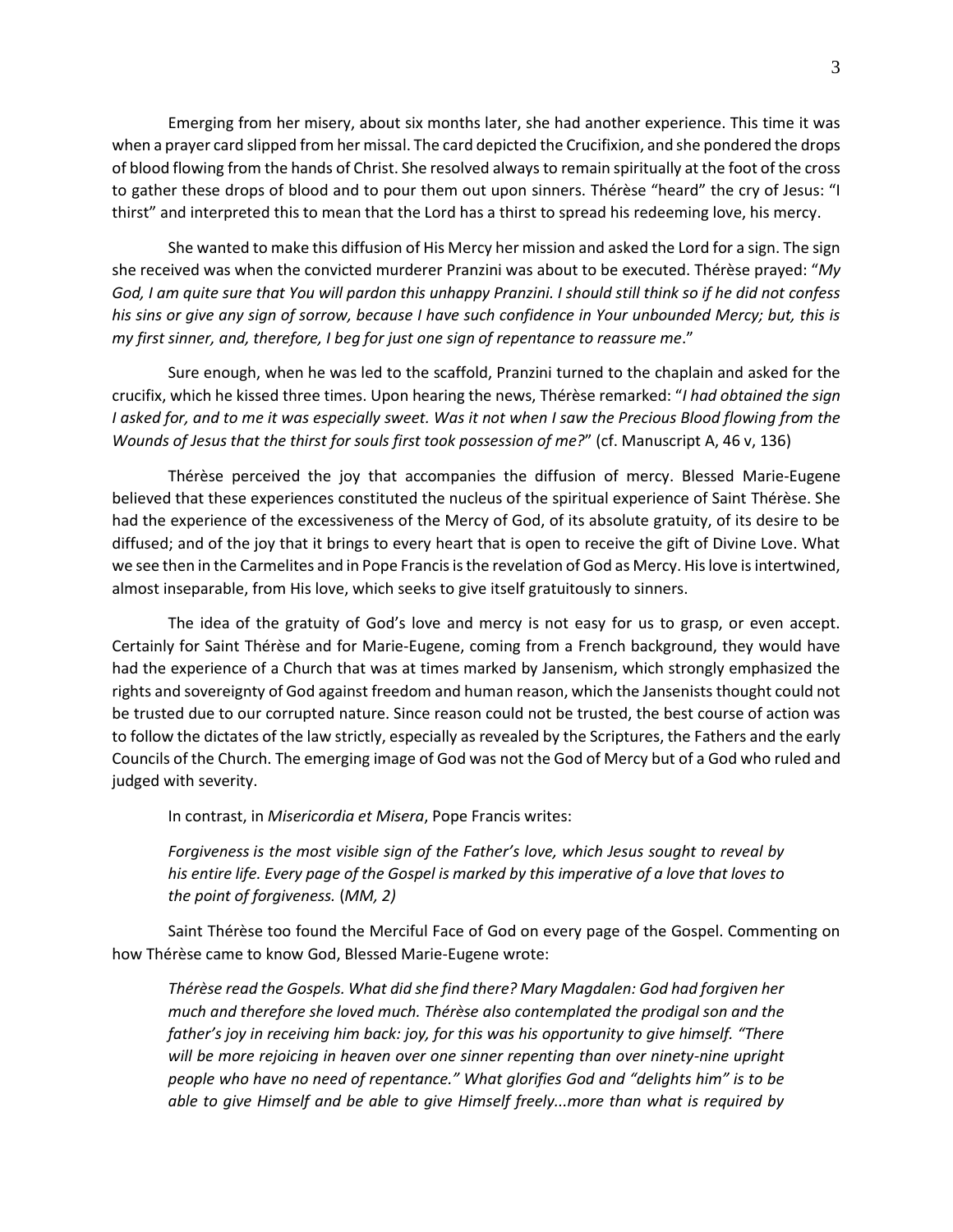Emerging from her misery, about six months later, she had another experience. This time it was when a prayer card slipped from her missal. The card depicted the Crucifixion, and she pondered the drops of blood flowing from the hands of Christ. She resolved always to remain spiritually at the foot of the cross to gather these drops of blood and to pour them out upon sinners. Thérèse "heard" the cry of Jesus: "I thirst" and interpreted this to mean that the Lord has a thirst to spread his redeeming love, his mercy.

She wanted to make this diffusion of His Mercy her mission and asked the Lord for a sign. The sign she received was when the convicted murderer Pranzini was about to be executed. Thérèse prayed: "*My God, I am quite sure that You will pardon this unhappy Pranzini. I should still think so if he did not confess his sins or give any sign of sorrow, because I have such confidence in Your unbounded Mercy; but, this is my first sinner, and, therefore, I beg for just one sign of repentance to reassure me*."

Sure enough, when he was led to the scaffold, Pranzini turned to the chaplain and asked for the crucifix, which he kissed three times. Upon hearing the news, Thérèse remarked: "*I had obtained the sign I* asked for, and to me it was especially sweet. Was it not when I saw the Precious Blood flowing from the *Wounds of Jesus that the thirst for souls first took possession of me?*" (cf. Manuscript A, 46 v, 136)

Thérèse perceived the joy that accompanies the diffusion of mercy. Blessed Marie-Eugene believed that these experiences constituted the nucleus of the spiritual experience of Saint Thérèse. She had the experience of the excessiveness of the Mercy of God, of its absolute gratuity, of its desire to be diffused; and of the joy that it brings to every heart that is open to receive the gift of Divine Love. What we see then in the Carmelites and in Pope Francis is the revelation of God as Mercy. His love is intertwined, almost inseparable, from His love, which seeks to give itself gratuitously to sinners.

The idea of the gratuity of God's love and mercy is not easy for us to grasp, or even accept. Certainly for Saint Thérèse and for Marie-Eugene, coming from a French background, they would have had the experience of a Church that was at times marked by Jansenism, which strongly emphasized the rights and sovereignty of God against freedom and human reason, which the Jansenists thought could not be trusted due to our corrupted nature. Since reason could not be trusted, the best course of action was to follow the dictates of the law strictly, especially as revealed by the Scriptures, the Fathers and the early Councils of the Church. The emerging image of God was not the God of Mercy but of a God who ruled and judged with severity.

In contrast, in *Misericordia et Misera*, Pope Francis writes:

*Forgiveness is the most visible sign of the Father's love, which Jesus sought to reveal by his entire life. Every page of the Gospel is marked by this imperative of a love that loves to the point of forgiveness.* (*MM, 2)*

Saint Thérèse too found the Merciful Face of God on every page of the Gospel. Commenting on how Thérèse came to know God, Blessed Marie-Eugene wrote:

*Thérèse read the Gospels. What did she find there? Mary Magdalen: God had forgiven her much and therefore she loved much. Thérèse also contemplated the prodigal son and the father's joy in receiving him back: joy, for this was his opportunity to give himself. "There will be more rejoicing in heaven over one sinner repenting than over ninety-nine upright people who have no need of repentance." What glorifies God and "delights him" is to be able to give Himself and be able to give Himself freely...more than what is required by*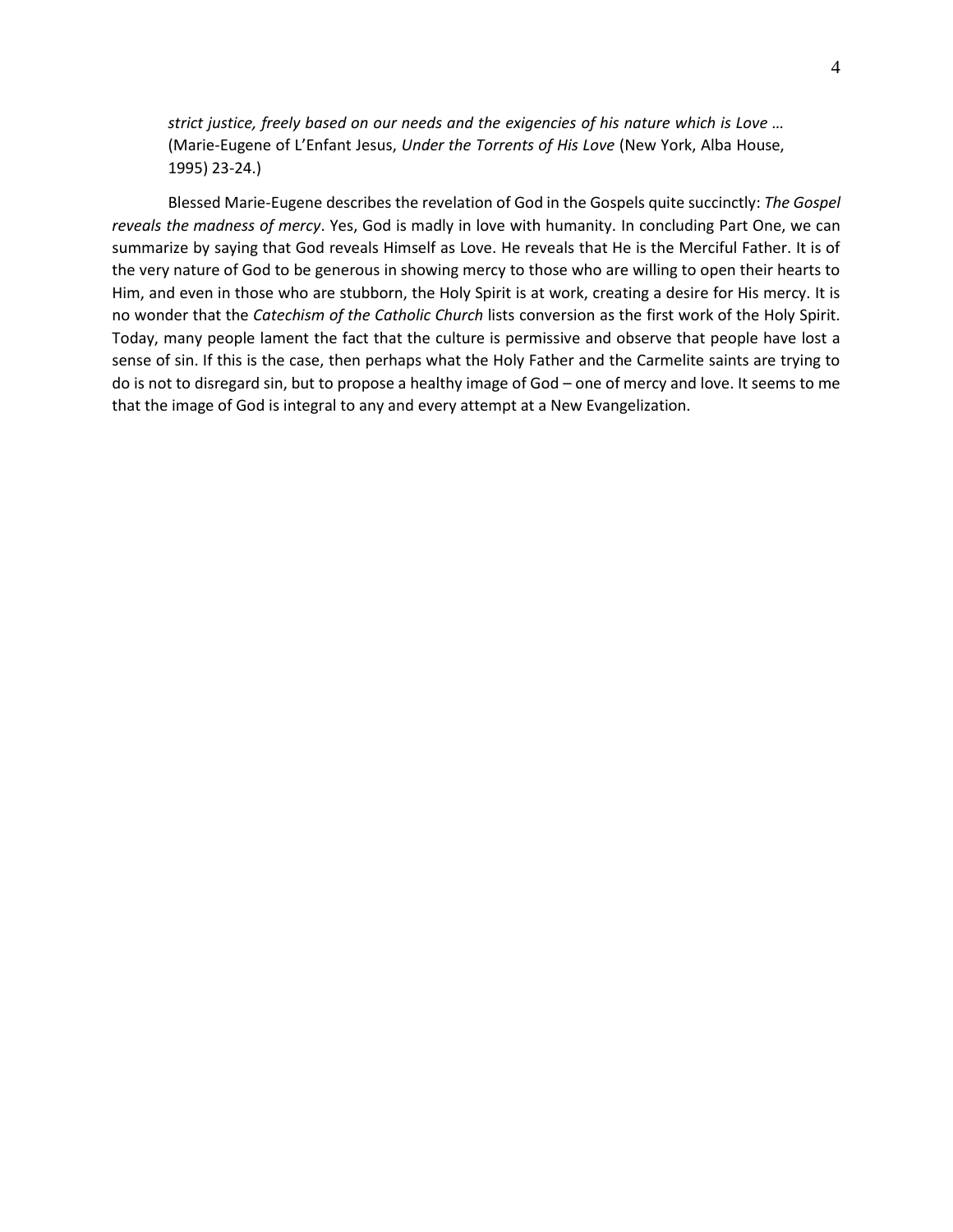*strict justice, freely based on our needs and the exigencies of his nature which is Love …*  (Marie-Eugene of L'Enfant Jesus, *Under the Torrents of His Love* (New York, Alba House, 1995) 23-24.)

Blessed Marie-Eugene describes the revelation of God in the Gospels quite succinctly: *The Gospel reveals the madness of mercy*. Yes, God is madly in love with humanity. In concluding Part One, we can summarize by saying that God reveals Himself as Love. He reveals that He is the Merciful Father. It is of the very nature of God to be generous in showing mercy to those who are willing to open their hearts to Him, and even in those who are stubborn, the Holy Spirit is at work, creating a desire for His mercy. It is no wonder that the *Catechism of the Catholic Church* lists conversion as the first work of the Holy Spirit. Today, many people lament the fact that the culture is permissive and observe that people have lost a sense of sin. If this is the case, then perhaps what the Holy Father and the Carmelite saints are trying to do is not to disregard sin, but to propose a healthy image of God – one of mercy and love. It seems to me that the image of God is integral to any and every attempt at a New Evangelization.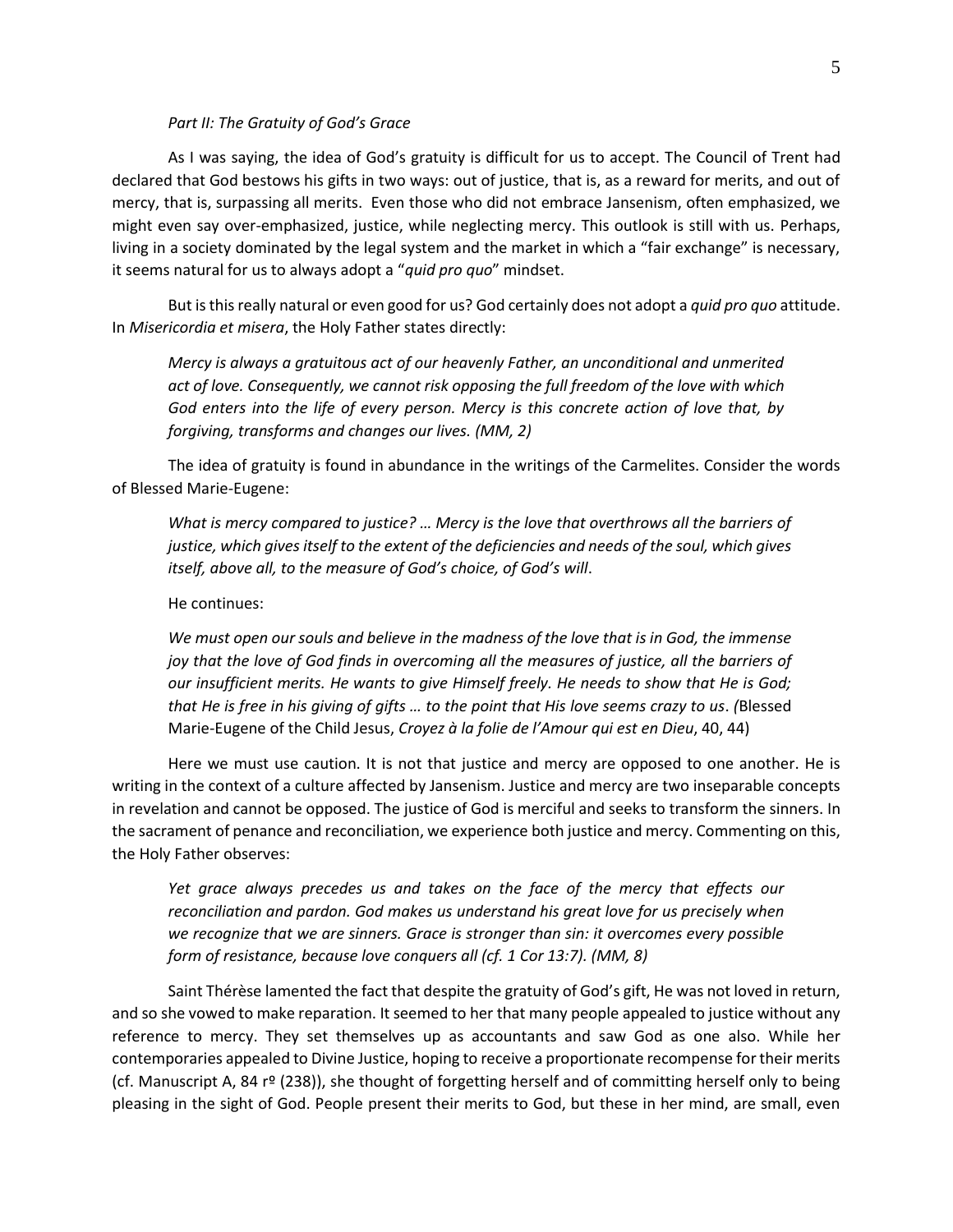#### *Part II: The Gratuity of God's Grace*

As I was saying, the idea of God's gratuity is difficult for us to accept. The Council of Trent had declared that God bestows his gifts in two ways: out of justice, that is, as a reward for merits, and out of mercy, that is, surpassing all merits. Even those who did not embrace Jansenism, often emphasized, we might even say over-emphasized, justice, while neglecting mercy. This outlook is still with us. Perhaps, living in a society dominated by the legal system and the market in which a "fair exchange" is necessary, it seems natural for us to always adopt a "*quid pro quo*" mindset.

But is this really natural or even good for us? God certainly does not adopt a *quid pro quo* attitude. In *Misericordia et misera*, the Holy Father states directly:

*Mercy is always a gratuitous act of our heavenly Father, an unconditional and unmerited act of love. Consequently, we cannot risk opposing the full freedom of the love with which God enters into the life of every person. Mercy is this concrete action of love that, by forgiving, transforms and changes our lives. (MM, 2)*

The idea of gratuity is found in abundance in the writings of the Carmelites. Consider the words of Blessed Marie-Eugene:

*What is mercy compared to justice? … Mercy is the love that overthrows all the barriers of justice, which gives itself to the extent of the deficiencies and needs of the soul, which gives itself, above all, to the measure of God's choice, of God's will*.

He continues:

*We must open our souls and believe in the madness of the love that is in God, the immense joy that the love of God finds in overcoming all the measures of justice, all the barriers of our insufficient merits. He wants to give Himself freely. He needs to show that He is God; that He is free in his giving of gifts … to the point that His love seems crazy to us*. *(*Blessed Marie-Eugene of the Child Jesus, *Croyez à la folie de l'Amour qui est en Dieu*, 40, 44)

Here we must use caution. It is not that justice and mercy are opposed to one another. He is writing in the context of a culture affected by Jansenism. Justice and mercy are two inseparable concepts in revelation and cannot be opposed. The justice of God is merciful and seeks to transform the sinners. In the sacrament of penance and reconciliation, we experience both justice and mercy. Commenting on this, the Holy Father observes:

*Yet grace always precedes us and takes on the face of the mercy that effects our reconciliation and pardon. God makes us understand his great love for us precisely when we recognize that we are sinners. Grace is stronger than sin: it overcomes every possible form of resistance, because love conquers all (cf. 1 Cor 13:7). (MM, 8)*

Saint Thérèse lamented the fact that despite the gratuity of God's gift, He was not loved in return, and so she vowed to make reparation. It seemed to her that many people appealed to justice without any reference to mercy. They set themselves up as accountants and saw God as one also. While her contemporaries appealed to Divine Justice, hoping to receive a proportionate recompense for their merits (cf. Manuscript A, 84 rº (238)), she thought of forgetting herself and of committing herself only to being pleasing in the sight of God. People present their merits to God, but these in her mind, are small, even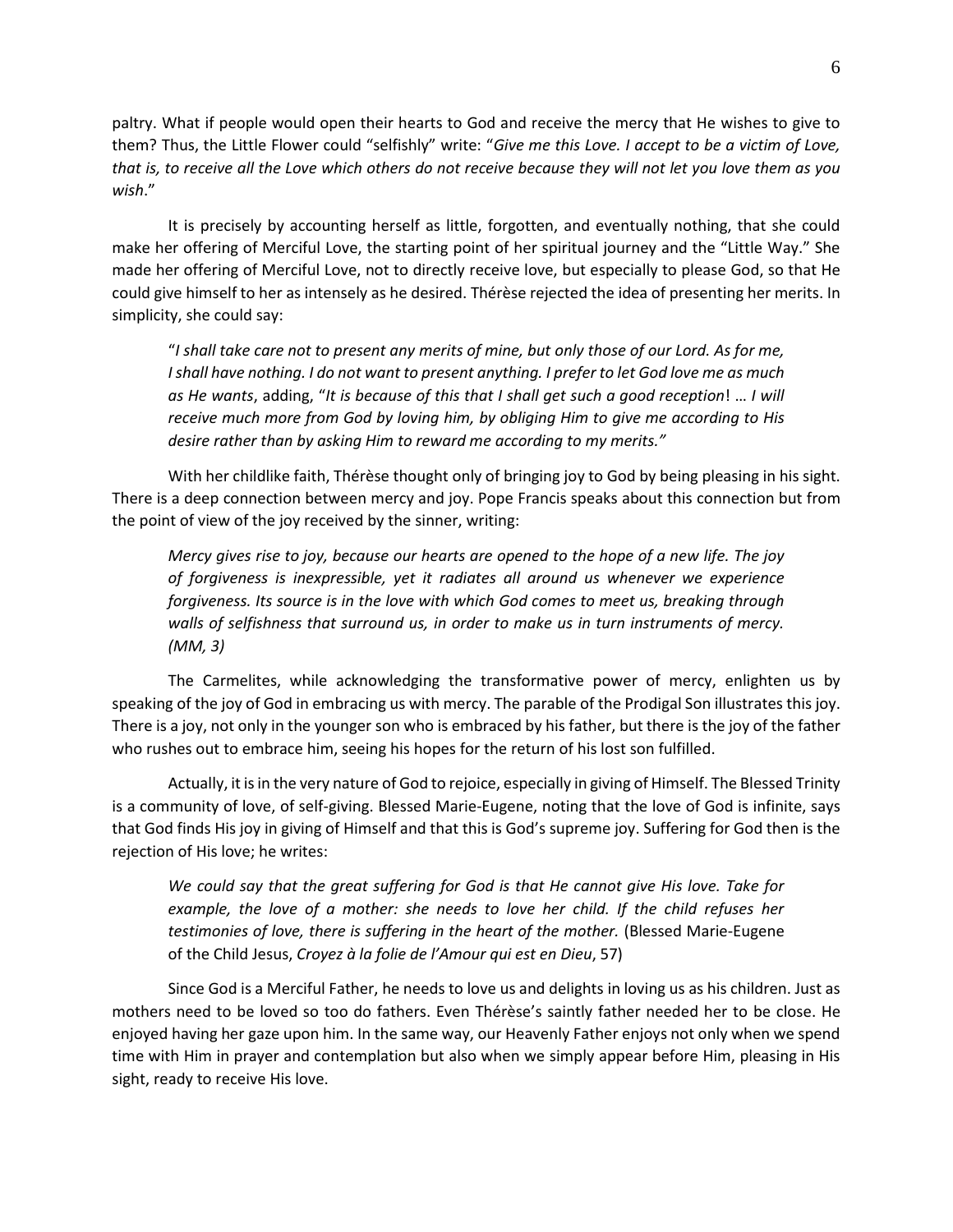paltry. What if people would open their hearts to God and receive the mercy that He wishes to give to them? Thus, the Little Flower could "selfishly" write: "*Give me this Love. I accept to be a victim of Love, that is, to receive all the Love which others do not receive because they will not let you love them as you wish*."

It is precisely by accounting herself as little, forgotten, and eventually nothing, that she could make her offering of Merciful Love, the starting point of her spiritual journey and the "Little Way." She made her offering of Merciful Love, not to directly receive love, but especially to please God, so that He could give himself to her as intensely as he desired. Thérèse rejected the idea of presenting her merits. In simplicity, she could say:

"*I shall take care not to present any merits of mine, but only those of our Lord. As for me, I shall have nothing. I do not want to present anything. I prefer to let God love me as much as He wants*, adding, "*It is because of this that I shall get such a good reception*! … *I will receive much more from God by loving him, by obliging Him to give me according to His desire rather than by asking Him to reward me according to my merits."*

With her childlike faith, Thérèse thought only of bringing joy to God by being pleasing in his sight. There is a deep connection between mercy and joy. Pope Francis speaks about this connection but from the point of view of the joy received by the sinner, writing:

*Mercy gives rise to joy, because our hearts are opened to the hope of a new life. The joy of forgiveness is inexpressible, yet it radiates all around us whenever we experience forgiveness. Its source is in the love with which God comes to meet us, breaking through walls of selfishness that surround us, in order to make us in turn instruments of mercy. (MM, 3)*

The Carmelites, while acknowledging the transformative power of mercy, enlighten us by speaking of the joy of God in embracing us with mercy. The parable of the Prodigal Son illustrates this joy. There is a joy, not only in the younger son who is embraced by his father, but there is the joy of the father who rushes out to embrace him, seeing his hopes for the return of his lost son fulfilled.

Actually, it is in the very nature of God to rejoice, especially in giving of Himself. The Blessed Trinity is a community of love, of self-giving. Blessed Marie-Eugene, noting that the love of God is infinite, says that God finds His joy in giving of Himself and that this is God's supreme joy. Suffering for God then is the rejection of His love; he writes:

*We could say that the great suffering for God is that He cannot give His love. Take for*  example, the love of a mother: she needs to love her child. If the child refuses her *testimonies of love, there is suffering in the heart of the mother.* (Blessed Marie-Eugene of the Child Jesus, *Croyez à la folie de l'Amour qui est en Dieu*, 57)

Since God is a Merciful Father, he needs to love us and delights in loving us as his children. Just as mothers need to be loved so too do fathers. Even Thérèse's saintly father needed her to be close. He enjoyed having her gaze upon him. In the same way, our Heavenly Father enjoys not only when we spend time with Him in prayer and contemplation but also when we simply appear before Him, pleasing in His sight, ready to receive His love.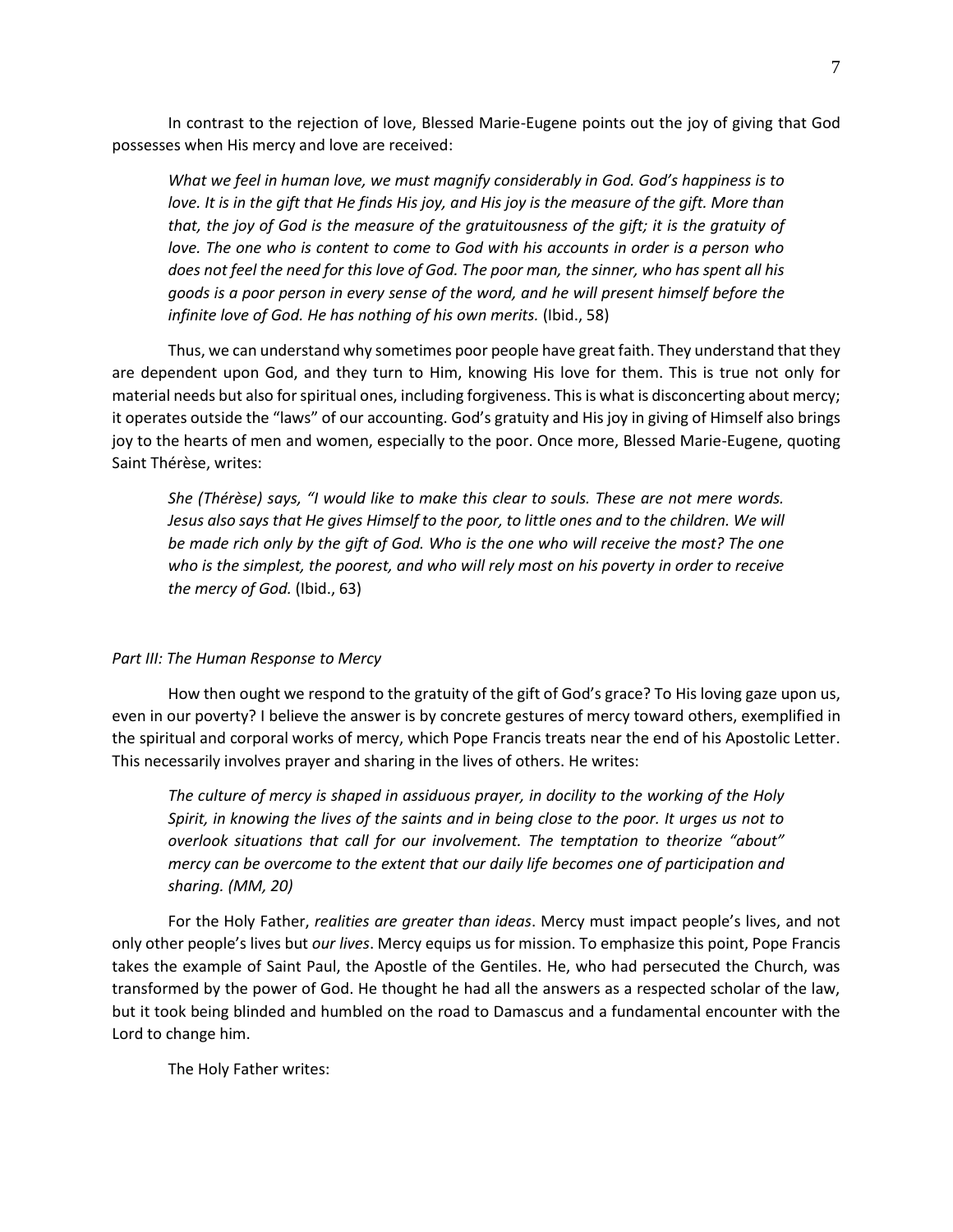In contrast to the rejection of love, Blessed Marie-Eugene points out the joy of giving that God possesses when His mercy and love are received:

*What we feel in human love, we must magnify considerably in God. God's happiness is to*  love. It is in the gift that He finds His joy, and His joy is the measure of the gift. More than *that, the joy of God is the measure of the gratuitousness of the gift; it is the gratuity of love. The one who is content to come to God with his accounts in order is a person who does not feel the need for this love of God. The poor man, the sinner, who has spent all his goods is a poor person in every sense of the word, and he will present himself before the*  infinite love of God. He has nothing of his own merits. (Ibid., 58)

Thus, we can understand why sometimes poor people have great faith. They understand that they are dependent upon God, and they turn to Him, knowing His love for them. This is true not only for material needs but also for spiritual ones, including forgiveness. This is what is disconcerting about mercy; it operates outside the "laws" of our accounting. God's gratuity and His joy in giving of Himself also brings joy to the hearts of men and women, especially to the poor. Once more, Blessed Marie-Eugene, quoting Saint Thérèse, writes:

*She (Thérèse) says, "I would like to make this clear to souls. These are not mere words.*  Jesus also says that He gives Himself to the poor, to little ones and to the children. We will *be made rich only by the gift of God. Who is the one who will receive the most? The one who is the simplest, the poorest, and who will rely most on his poverty in order to receive the mercy of God.* (Ibid., 63)

## *Part III: The Human Response to Mercy*

How then ought we respond to the gratuity of the gift of God's grace? To His loving gaze upon us, even in our poverty? I believe the answer is by concrete gestures of mercy toward others, exemplified in the spiritual and corporal works of mercy, which Pope Francis treats near the end of his Apostolic Letter. This necessarily involves prayer and sharing in the lives of others. He writes:

*The culture of mercy is shaped in assiduous prayer, in docility to the working of the Holy Spirit, in knowing the lives of the saints and in being close to the poor. It urges us not to overlook situations that call for our involvement. The temptation to theorize "about" mercy can be overcome to the extent that our daily life becomes one of participation and sharing. (MM, 20)*

For the Holy Father, *realities are greater than ideas*. Mercy must impact people's lives, and not only other people's lives but *our lives*. Mercy equips us for mission. To emphasize this point, Pope Francis takes the example of Saint Paul, the Apostle of the Gentiles. He, who had persecuted the Church, was transformed by the power of God. He thought he had all the answers as a respected scholar of the law, but it took being blinded and humbled on the road to Damascus and a fundamental encounter with the Lord to change him.

The Holy Father writes: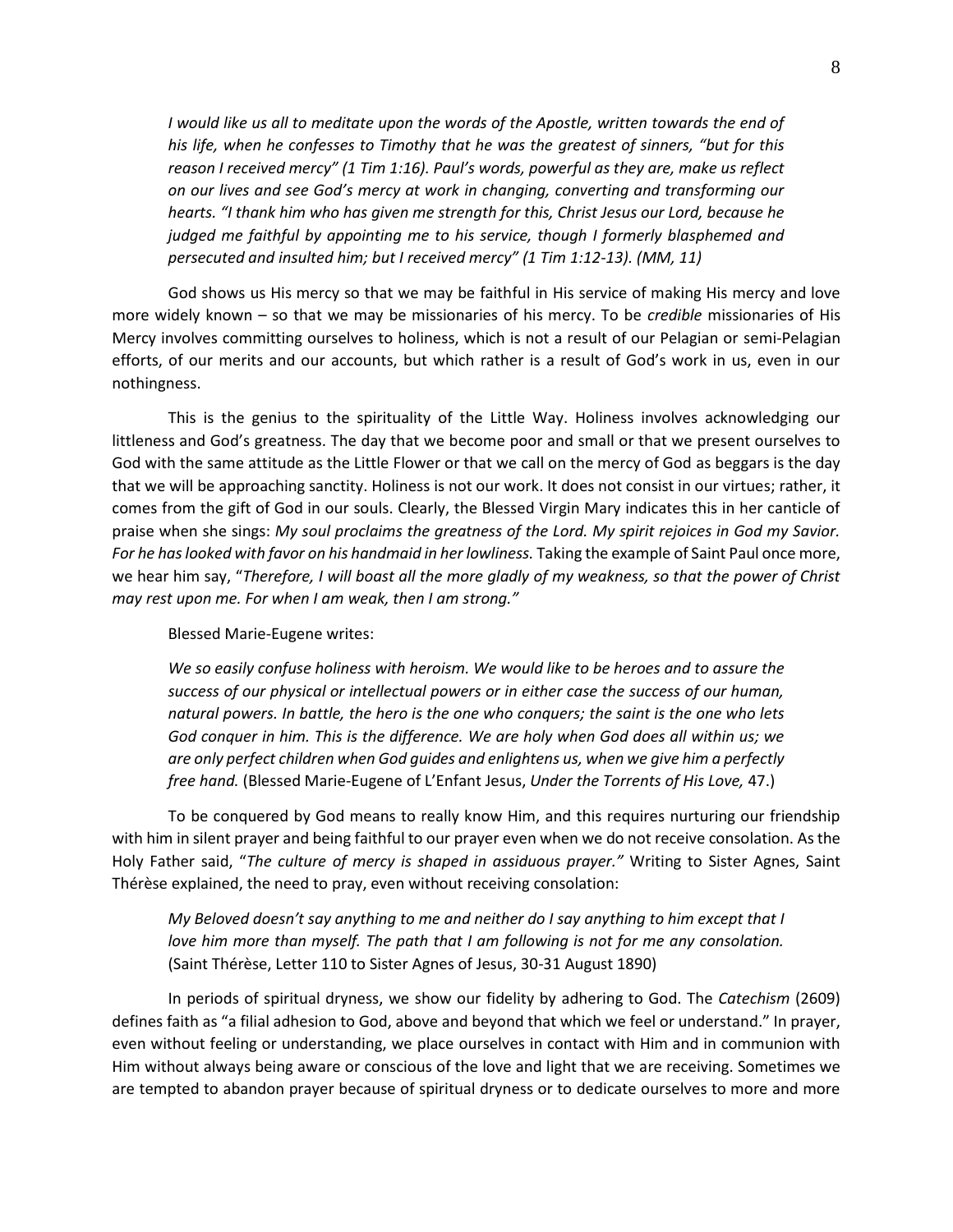*I would like us all to meditate upon the words of the Apostle, written towards the end of his life, when he confesses to Timothy that he was the greatest of sinners, "but for this reason I received mercy" (1 Tim 1:16). Paul's words, powerful as they are, make us reflect on our lives and see God's mercy at work in changing, converting and transforming our hearts. "I thank him who has given me strength for this, Christ Jesus our Lord, because he judged me faithful by appointing me to his service, though I formerly blasphemed and persecuted and insulted him; but I received mercy" (1 Tim 1:12-13). (MM, 11)*

God shows us His mercy so that we may be faithful in His service of making His mercy and love more widely known – so that we may be missionaries of his mercy. To be *credible* missionaries of His Mercy involves committing ourselves to holiness, which is not a result of our Pelagian or semi-Pelagian efforts, of our merits and our accounts, but which rather is a result of God's work in us, even in our nothingness.

This is the genius to the spirituality of the Little Way. Holiness involves acknowledging our littleness and God's greatness. The day that we become poor and small or that we present ourselves to God with the same attitude as the Little Flower or that we call on the mercy of God as beggars is the day that we will be approaching sanctity. Holiness is not our work. It does not consist in our virtues; rather, it comes from the gift of God in our souls. Clearly, the Blessed Virgin Mary indicates this in her canticle of praise when she sings: *My soul proclaims the greatness of the Lord. My spirit rejoices in God my Savior. For he has looked with favor on his handmaid in her lowliness.* Taking the example of Saint Paul once more, we hear him say, "*Therefore, I will boast all the more gladly of my weakness, so that the power of Christ may rest upon me. For when I am weak, then I am strong."*

# Blessed Marie-Eugene writes:

*We so easily confuse holiness with heroism. We would like to be heroes and to assure the success of our physical or intellectual powers or in either case the success of our human, natural powers. In battle, the hero is the one who conquers; the saint is the one who lets God conquer in him. This is the difference. We are holy when God does all within us; we are only perfect children when God guides and enlightens us, when we give him a perfectly free hand.* (Blessed Marie-Eugene of L'Enfant Jesus, *Under the Torrents of His Love,* 47.)

To be conquered by God means to really know Him, and this requires nurturing our friendship with him in silent prayer and being faithful to our prayer even when we do not receive consolation. As the Holy Father said, "*The culture of mercy is shaped in assiduous prayer."* Writing to Sister Agnes, Saint Thérèse explained, the need to pray, even without receiving consolation:

*My Beloved doesn't say anything to me and neither do I say anything to him except that I love him more than myself. The path that I am following is not for me any consolation.* (Saint Thérèse, Letter 110 to Sister Agnes of Jesus, 30-31 August 1890)

In periods of spiritual dryness, we show our fidelity by adhering to God. The *Catechism* (2609) defines faith as "a filial adhesion to God, above and beyond that which we feel or understand." In prayer, even without feeling or understanding, we place ourselves in contact with Him and in communion with Him without always being aware or conscious of the love and light that we are receiving. Sometimes we are tempted to abandon prayer because of spiritual dryness or to dedicate ourselves to more and more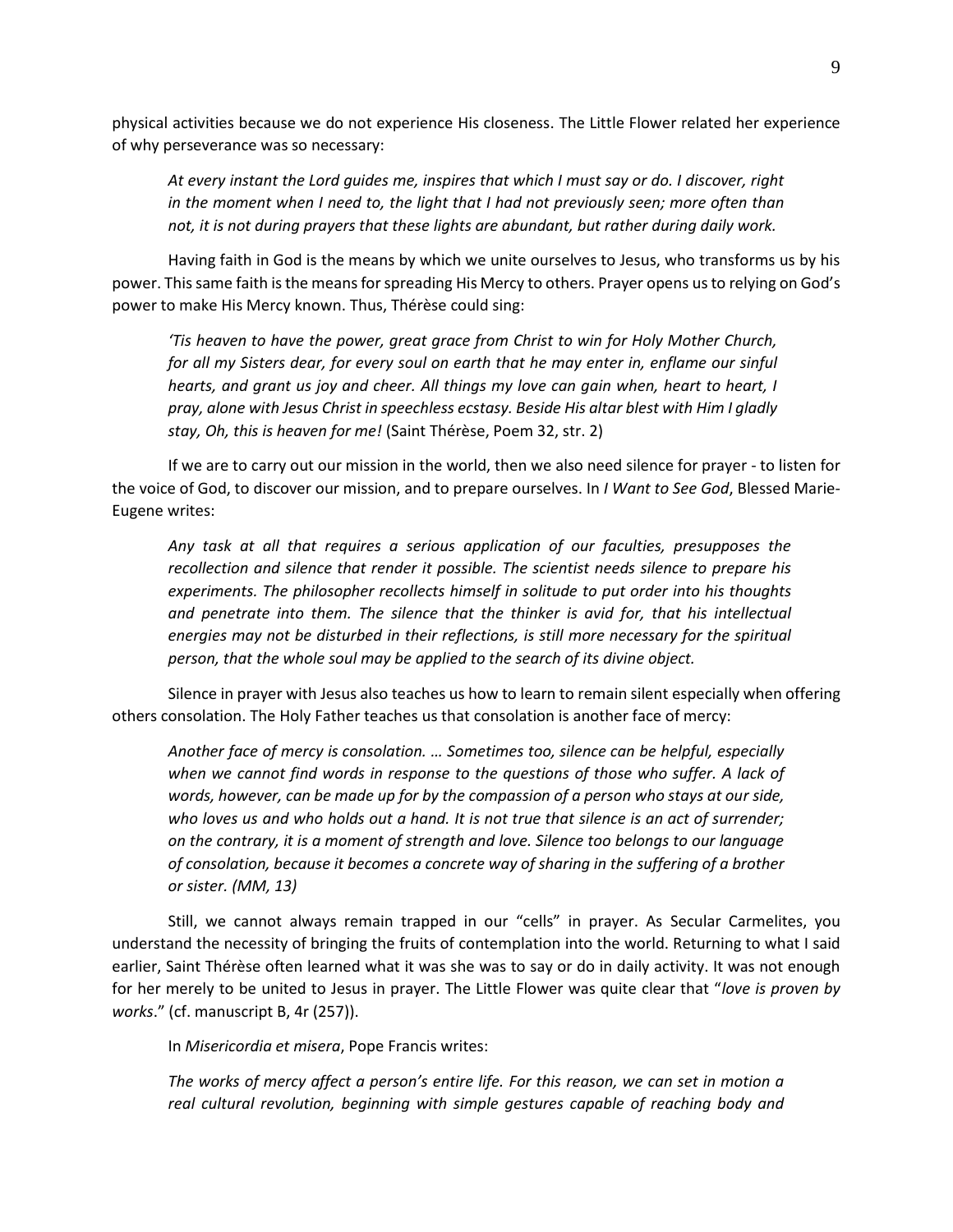physical activities because we do not experience His closeness. The Little Flower related her experience of why perseverance was so necessary:

*At every instant the Lord guides me, inspires that which I must say or do. I discover, right in the moment when I need to, the light that I had not previously seen; more often than not, it is not during prayers that these lights are abundant, but rather during daily work.*

Having faith in God is the means by which we unite ourselves to Jesus, who transforms us by his power. This same faith is the means for spreading His Mercy to others. Prayer opens us to relying on God's power to make His Mercy known. Thus, Thérèse could sing:

*'Tis heaven to have the power, great grace from Christ to win for Holy Mother Church, for all my Sisters dear, for every soul on earth that he may enter in, enflame our sinful hearts, and grant us joy and cheer. All things my love can gain when, heart to heart, I pray, alone with Jesus Christ in speechless ecstasy. Beside His altar blest with Him I gladly stay, Oh, this is heaven for me!* (Saint Thérèse, Poem 32, str. 2)

If we are to carry out our mission in the world, then we also need silence for prayer - to listen for the voice of God, to discover our mission, and to prepare ourselves. In *I Want to See God*, Blessed Marie-Eugene writes:

*Any task at all that requires a serious application of our faculties, presupposes the recollection and silence that render it possible. The scientist needs silence to prepare his experiments. The philosopher recollects himself in solitude to put order into his thoughts and penetrate into them. The silence that the thinker is avid for, that his intellectual energies may not be disturbed in their reflections, is still more necessary for the spiritual person, that the whole soul may be applied to the search of its divine object.*

Silence in prayer with Jesus also teaches us how to learn to remain silent especially when offering others consolation. The Holy Father teaches us that consolation is another face of mercy:

*Another face of mercy is consolation. … Sometimes too, silence can be helpful, especially when we cannot find words in response to the questions of those who suffer. A lack of words, however, can be made up for by the compassion of a person who stays at our side, who loves us and who holds out a hand. It is not true that silence is an act of surrender; on the contrary, it is a moment of strength and love. Silence too belongs to our language of consolation, because it becomes a concrete way of sharing in the suffering of a brother or sister. (MM, 13)*

Still, we cannot always remain trapped in our "cells" in prayer. As Secular Carmelites, you understand the necessity of bringing the fruits of contemplation into the world. Returning to what I said earlier, Saint Thérèse often learned what it was she was to say or do in daily activity. It was not enough for her merely to be united to Jesus in prayer. The Little Flower was quite clear that "*love is proven by works*." (cf. manuscript B, 4r (257)).

In *Misericordia et misera*, Pope Francis writes:

*The works of mercy affect a person's entire life. For this reason, we can set in motion a real cultural revolution, beginning with simple gestures capable of reaching body and*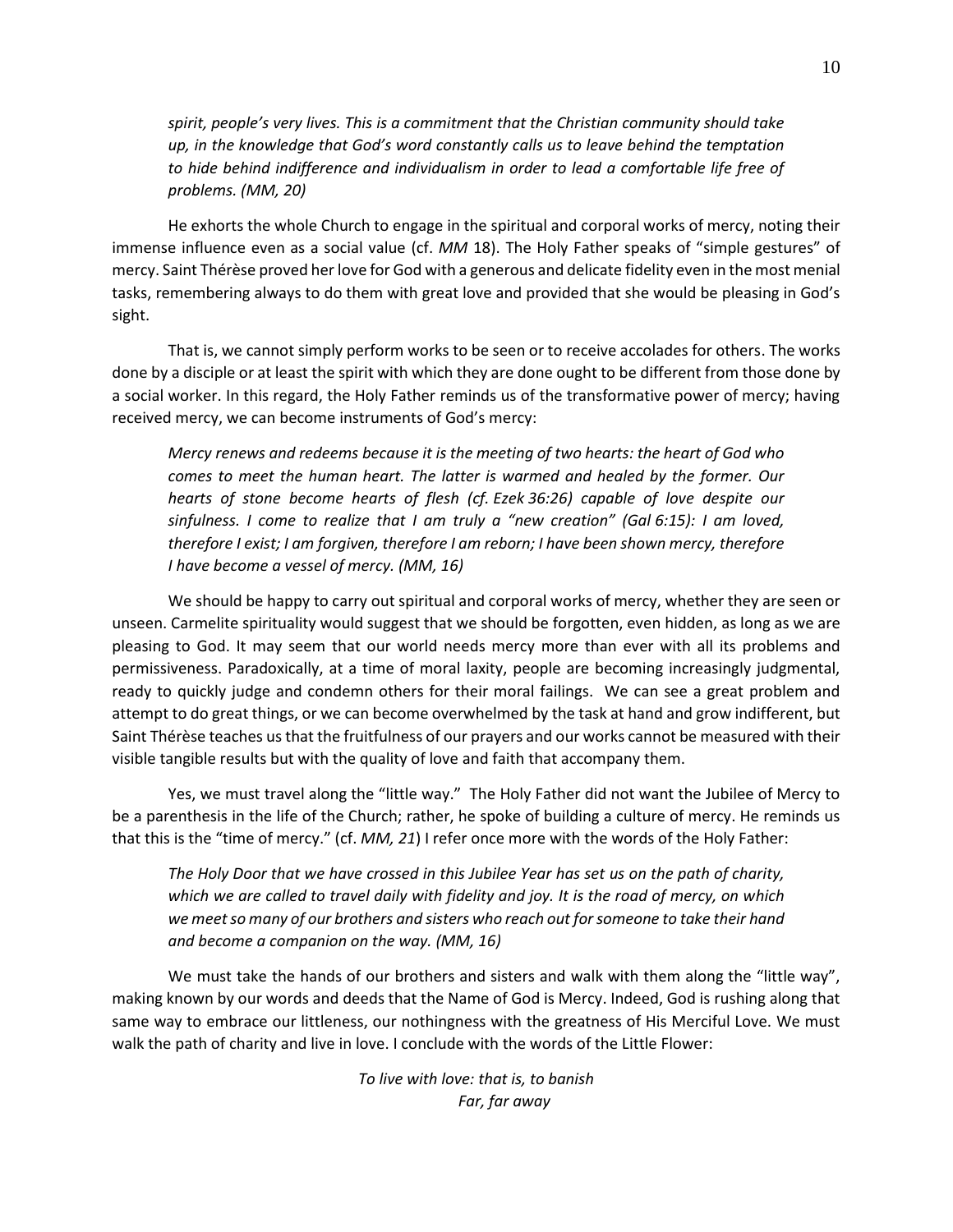*spirit, people's very lives. This is a commitment that the Christian community should take up, in the knowledge that God's word constantly calls us to leave behind the temptation to hide behind indifference and individualism in order to lead a comfortable life free of problems. (MM, 20)*

He exhorts the whole Church to engage in the spiritual and corporal works of mercy, noting their immense influence even as a social value (cf. *MM* 18). The Holy Father speaks of "simple gestures" of mercy. Saint Thérèse proved her love for God with a generous and delicate fidelity even in the most menial tasks, remembering always to do them with great love and provided that she would be pleasing in God's sight.

That is, we cannot simply perform works to be seen or to receive accolades for others. The works done by a disciple or at least the spirit with which they are done ought to be different from those done by a social worker. In this regard, the Holy Father reminds us of the transformative power of mercy; having received mercy, we can become instruments of God's mercy:

*Mercy renews and redeems because it is the meeting of two hearts: the heart of God who comes to meet the human heart. The latter is warmed and healed by the former. Our hearts of stone become hearts of flesh (cf. Ezek 36:26) capable of love despite our sinfulness. I come to realize that I am truly a "new creation" (Gal 6:15): I am loved, therefore I exist; I am forgiven, therefore I am reborn; I have been shown mercy, therefore I have become a vessel of mercy. (MM, 16)*

We should be happy to carry out spiritual and corporal works of mercy, whether they are seen or unseen. Carmelite spirituality would suggest that we should be forgotten, even hidden, as long as we are pleasing to God. It may seem that our world needs mercy more than ever with all its problems and permissiveness. Paradoxically, at a time of moral laxity, people are becoming increasingly judgmental, ready to quickly judge and condemn others for their moral failings. We can see a great problem and attempt to do great things, or we can become overwhelmed by the task at hand and grow indifferent, but Saint Thérèse teaches us that the fruitfulness of our prayers and our works cannot be measured with their visible tangible results but with the quality of love and faith that accompany them.

Yes, we must travel along the "little way." The Holy Father did not want the Jubilee of Mercy to be a parenthesis in the life of the Church; rather, he spoke of building a culture of mercy. He reminds us that this is the "time of mercy." (cf. *MM, 21*) I refer once more with the words of the Holy Father:

*The Holy Door that we have crossed in this Jubilee Year has set us on the path of charity, which we are called to travel daily with fidelity and joy. It is the road of mercy, on which we meet so many of our brothers and sisters who reach out for someone to take their hand and become a companion on the way. (MM, 16)*

We must take the hands of our brothers and sisters and walk with them along the "little way", making known by our words and deeds that the Name of God is Mercy. Indeed, God is rushing along that same way to embrace our littleness, our nothingness with the greatness of His Merciful Love. We must walk the path of charity and live in love. I conclude with the words of the Little Flower:

> *To live with love: that is, to banish Far, far away*